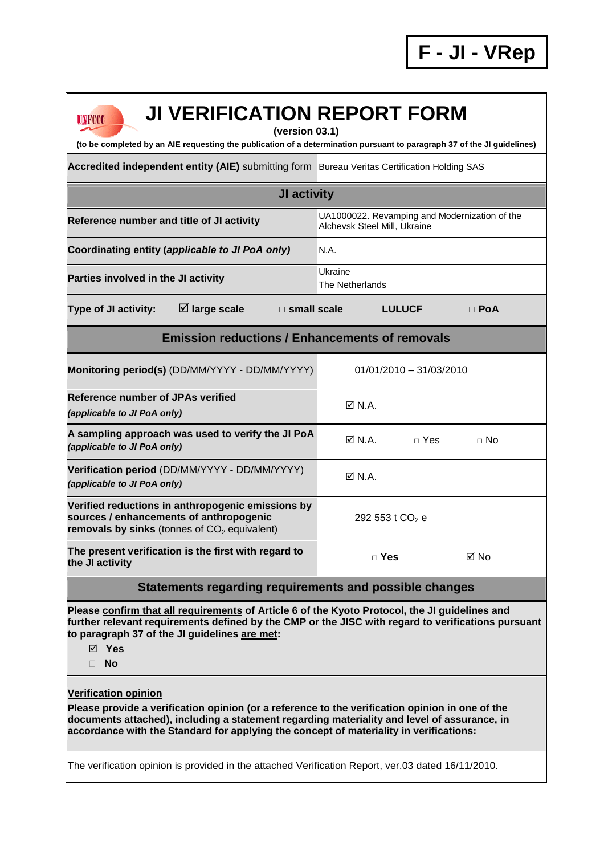| <b>JI VERIFICATION REPORT FORM</b><br>UNFCCC                                                                                                                                                                                                                                                                            |                                                                               |                             |  |  |
|-------------------------------------------------------------------------------------------------------------------------------------------------------------------------------------------------------------------------------------------------------------------------------------------------------------------------|-------------------------------------------------------------------------------|-----------------------------|--|--|
| (version 03.1)<br>(to be completed by an AIE requesting the publication of a determination pursuant to paragraph 37 of the JI guidelines)                                                                                                                                                                               |                                                                               |                             |  |  |
| Accredited independent entity (AIE) submitting form Bureau Veritas Certification Holding SAS                                                                                                                                                                                                                            |                                                                               |                             |  |  |
| JI activity                                                                                                                                                                                                                                                                                                             |                                                                               |                             |  |  |
| Reference number and title of JI activity                                                                                                                                                                                                                                                                               | UA1000022. Revamping and Modernization of the<br>Alchevsk Steel Mill, Ukraine |                             |  |  |
| Coordinating entity (applicable to JI PoA only)                                                                                                                                                                                                                                                                         | N.A.                                                                          |                             |  |  |
| Parties involved in the JI activity                                                                                                                                                                                                                                                                                     | Ukraine<br>The Netherlands                                                    |                             |  |  |
| $\boxtimes$ large scale<br><b>Type of JI activity:</b><br>$\Box$ small scale                                                                                                                                                                                                                                            | □ LULUCF                                                                      | $\Box$ PoA                  |  |  |
| <b>Emission reductions / Enhancements of removals</b>                                                                                                                                                                                                                                                                   |                                                                               |                             |  |  |
| Monitoring period(s) (DD/MM/YYYY - DD/MM/YYYY)                                                                                                                                                                                                                                                                          | $01/01/2010 - 31/03/2010$                                                     |                             |  |  |
| <b>Reference number of JPAs verified</b><br>(applicable to JI PoA only)                                                                                                                                                                                                                                                 | $\boxtimes$ N.A.                                                              |                             |  |  |
| A sampling approach was used to verify the JI PoA<br>(applicable to JI PoA only)                                                                                                                                                                                                                                        | $\boxtimes$ N.A.                                                              | $\sqcap$ Yes<br>$\sqcap$ No |  |  |
| Verification period (DD/MM/YYYY - DD/MM/YYYY)<br>(applicable to JI PoA only)                                                                                                                                                                                                                                            | $\boxtimes$ N.A.                                                              |                             |  |  |
| Verified reductions in anthropogenic emissions by<br>sources / enhancements of anthropogenic<br>removals by sinks (tonnes of $CO2$ equivalent)                                                                                                                                                                          | 292 553 t CO <sub>2</sub> e                                                   |                             |  |  |
| The present verification is the first with regard to<br>the JI activity                                                                                                                                                                                                                                                 | $\Box$ Yes                                                                    | ⊠ No                        |  |  |
| Statements regarding requirements and possible changes                                                                                                                                                                                                                                                                  |                                                                               |                             |  |  |
| Please confirm that all requirements of Article 6 of the Kyoto Protocol, the JI guidelines and<br>further relevant requirements defined by the CMP or the JISC with regard to verifications pursuant<br>to paragraph 37 of the JI guidelines are met:<br>$\boxtimes$ Yes<br><b>No</b><br>П.                             |                                                                               |                             |  |  |
| <b>Verification opinion</b><br>Please provide a verification opinion (or a reference to the verification opinion in one of the<br>documents attached), including a statement regarding materiality and level of assurance, in<br>accordance with the Standard for applying the concept of materiality in verifications: |                                                                               |                             |  |  |

The verification opinion is provided in the attached Verification Report, ver.03 dated 16/11/2010.